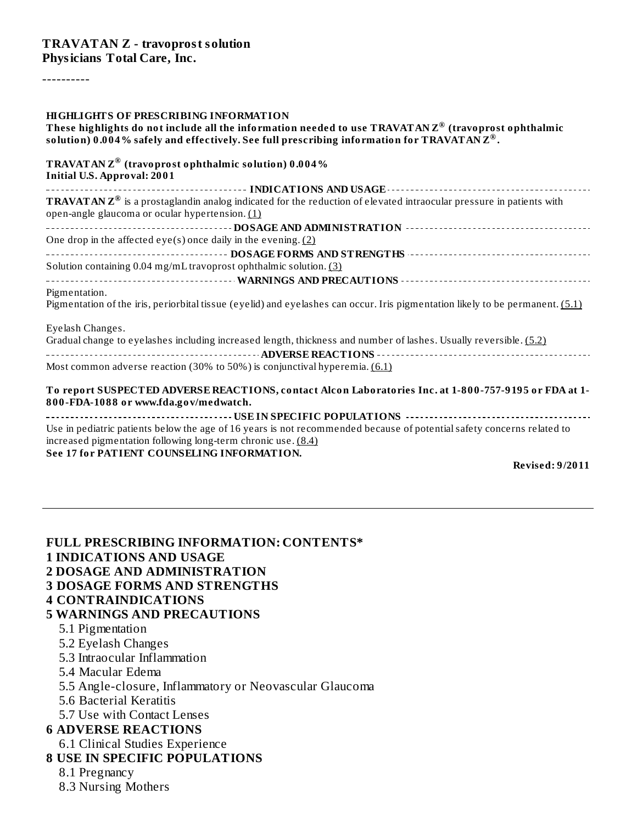#### **TRAVATAN Z - travoprost solution Physicians Total Care, Inc.**

----------

| <b>HIGHLIGHTS OF PRESCRIBING INFORMATION</b><br>These highlights do not include all the information needed to use $\texttt{TRAVATAN Z}^{\circledast}$ (travoprost ophthalmic<br>solution) 0.004% safely and effectively. See full prescribing information for TRAVATAN Z®. |
|----------------------------------------------------------------------------------------------------------------------------------------------------------------------------------------------------------------------------------------------------------------------------|
| <b>TRAVATAN Z<sup>®</sup></b> (travoprost ophthalmic solution) $0.004\%$<br><b>Initial U.S. Approval: 2001</b>                                                                                                                                                             |
|                                                                                                                                                                                                                                                                            |
| <b>TRAVATAN Z<sup>®</sup></b> is a prostaglandin analog indicated for the reduction of elevated intraocular pressure in patients with<br>open-angle glaucoma or ocular hypertension. (1)                                                                                   |
|                                                                                                                                                                                                                                                                            |
| One drop in the affected eye(s) once daily in the evening. $(2)$                                                                                                                                                                                                           |
|                                                                                                                                                                                                                                                                            |
| Solution containing 0.04 mg/mL travoprost ophthalmic solution. (3)                                                                                                                                                                                                         |
|                                                                                                                                                                                                                                                                            |
| Pigmentation.                                                                                                                                                                                                                                                              |
| Pigmentation of the iris, periorbital tissue (eyelid) and eyelashes can occur. Iris pigmentation likely to be permanent. $(5.1)$                                                                                                                                           |
| Eyelash Changes.                                                                                                                                                                                                                                                           |
| Gradual change to eyelashes including increased length, thickness and number of lashes. Usually reversible. (5.2)                                                                                                                                                          |
|                                                                                                                                                                                                                                                                            |
| Most common adverse reaction (30% to 50%) is conjunctival hyperemia. $(6.1)$                                                                                                                                                                                               |
| To report SUSPECTED ADVERSE REACTIONS, contact Alcon Laboratories Inc. at 1-800-757-9195 or FDA at 1-<br>800-FDA-1088 or www.fda.gov/medwatch.                                                                                                                             |
|                                                                                                                                                                                                                                                                            |
| Use in pediatric patients below the age of 16 years is not recommended because of potential safety concerns related to<br>increased pigmentation following long-term chronic use. (8.4)<br>See 17 for PATIENT COUNSELING INFORMATION.                                      |

**Revised: 9/2011**

**FULL PRESCRIBING INFORMATION: CONTENTS\***

#### **1 INDICATIONS AND USAGE**

- **2 DOSAGE AND ADMINISTRATION**
- **3 DOSAGE FORMS AND STRENGTHS**

#### **4 CONTRAINDICATIONS**

#### **5 WARNINGS AND PRECAUTIONS**

- 5.1 Pigmentation
- 5.2 Eyelash Changes
- 5.3 Intraocular Inflammation
- 5.4 Macular Edema
- 5.5 Angle-closure, Inflammatory or Neovascular Glaucoma
- 5.6 Bacterial Keratitis
- 5.7 Use with Contact Lenses

#### **6 ADVERSE REACTIONS**

6.1 Clinical Studies Experience

#### **8 USE IN SPECIFIC POPULATIONS**

- 8.1 Pregnancy
- 8.3 Nursing Mothers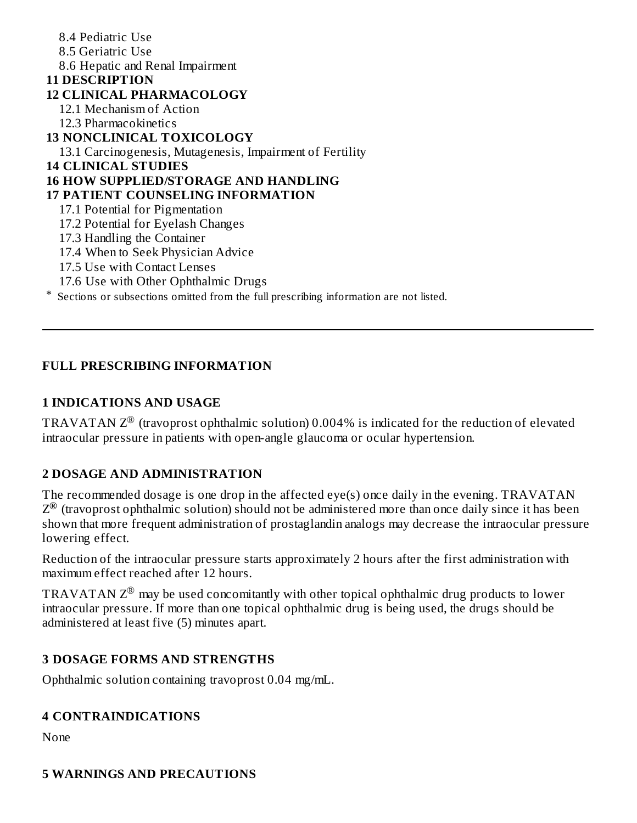8.4 Pediatric Use 8.5 Geriatric Use 8.6 Hepatic and Renal Impairment **11 DESCRIPTION 12 CLINICAL PHARMACOLOGY** 12.1 Mechanism of Action 12.3 Pharmacokinetics **13 NONCLINICAL TOXICOLOGY** 13.1 Carcinogenesis, Mutagenesis, Impairment of Fertility **14 CLINICAL STUDIES 16 HOW SUPPLIED/STORAGE AND HANDLING 17 PATIENT COUNSELING INFORMATION** 17.1 Potential for Pigmentation 17.2 Potential for Eyelash Changes 17.3 Handling the Container 17.4 When to Seek Physician Advice 17.5 Use with Contact Lenses 17.6 Use with Other Ophthalmic Drugs

# \* Sections or subsections omitted from the full prescribing information are not listed.

#### **FULL PRESCRIBING INFORMATION**

#### **1 INDICATIONS AND USAGE**

TRAVATAN Z $^{\circledR}$  (travoprost ophthalmic solution) 0.004% is indicated for the reduction of elevated intraocular pressure in patients with open-angle glaucoma or ocular hypertension.

#### **2 DOSAGE AND ADMINISTRATION**

The recommended dosage is one drop in the affected eye(s) once daily in the evening. TRAVATAN Z<sup>®</sup> (travoprost ophthalmic solution) should not be administered more than once daily since it has been shown that more frequent administration of prostaglandin analogs may decrease the intraocular pressure lowering effect.

Reduction of the intraocular pressure starts approximately 2 hours after the first administration with maximum effect reached after 12 hours.

TRAVATAN  $Z^{\circledR}$  may be used concomitantly with other topical ophthalmic drug products to lower intraocular pressure. If more than one topical ophthalmic drug is being used, the drugs should be administered at least five (5) minutes apart.

#### **3 DOSAGE FORMS AND STRENGTHS**

Ophthalmic solution containing travoprost 0.04 mg/mL.

#### **4 CONTRAINDICATIONS**

None

#### **5 WARNINGS AND PRECAUTIONS**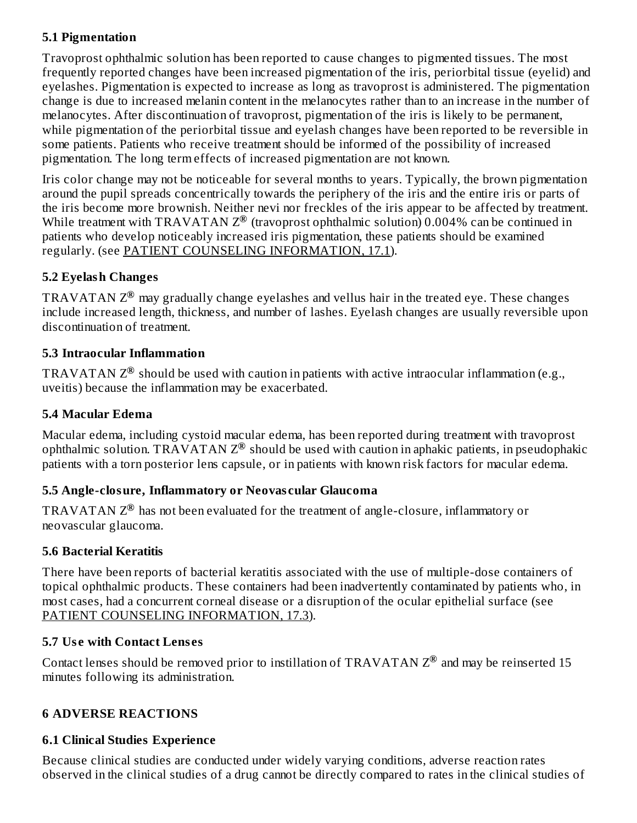# **5.1 Pigmentation**

Travoprost ophthalmic solution has been reported to cause changes to pigmented tissues. The most frequently reported changes have been increased pigmentation of the iris, periorbital tissue (eyelid) and eyelashes. Pigmentation is expected to increase as long as travoprost is administered. The pigmentation change is due to increased melanin content in the melanocytes rather than to an increase in the number of melanocytes. After discontinuation of travoprost, pigmentation of the iris is likely to be permanent, while pigmentation of the periorbital tissue and eyelash changes have been reported to be reversible in some patients. Patients who receive treatment should be informed of the possibility of increased pigmentation. The long term effects of increased pigmentation are not known.

Iris color change may not be noticeable for several months to years. Typically, the brown pigmentation around the pupil spreads concentrically towards the periphery of the iris and the entire iris or parts of the iris become more brownish. Neither nevi nor freckles of the iris appear to be affected by treatment. While treatment with TRAVATAN Z<sup>®</sup> (travoprost ophthalmic solution) 0.004% can be continued in patients who develop noticeably increased iris pigmentation, these patients should be examined regularly. (see PATIENT COUNSELING INFORMATION, 17.1).

#### **5.2 Eyelash Changes**

TRAVATAN Z<sup>®</sup> may gradually change eyelashes and vellus hair in the treated eye. These changes include increased length, thickness, and number of lashes. Eyelash changes are usually reversible upon discontinuation of treatment.

#### **5.3 Intraocular Inflammation**

TRAVATAN  $\mathsf{Z}^\circledast$  should be used with caution in patients with active intraocular inflammation (e.g., uveitis) because the inflammation may be exacerbated.

#### **5.4 Macular Edema**

Macular edema, including cystoid macular edema, has been reported during treatment with travoprost ophthalmic solution.  $\text{TRAVATAN } \text{Z}^{\circledast}$  should be used with caution in aphakic patients, in pseudophakic patients with a torn posterior lens capsule, or in patients with known risk factors for macular edema.

# **5.5 Angle-closure, Inflammatory or Neovas cular Glaucoma**

 $\text{TRAVATAN } \text{Z}^{\textcircled{\tiny{\textregistered}}}$  has not been evaluated for the treatment of angle-closure, inflammatory or neovascular glaucoma.

# **5.6 Bacterial Keratitis**

There have been reports of bacterial keratitis associated with the use of multiple-dose containers of topical ophthalmic products. These containers had been inadvertently contaminated by patients who, in most cases, had a concurrent corneal disease or a disruption of the ocular epithelial surface (see PATIENT COUNSELING INFORMATION, 17.3).

# **5.7 Us e with Contact Lens es**

Contact lenses should be removed prior to instillation of  $\text{TRAVATAN } \mathbb{Z}^{\circledast}$  and may be reinserted 15 minutes following its administration.

# **6 ADVERSE REACTIONS**

# **6.1 Clinical Studies Experience**

Because clinical studies are conducted under widely varying conditions, adverse reaction rates observed in the clinical studies of a drug cannot be directly compared to rates in the clinical studies of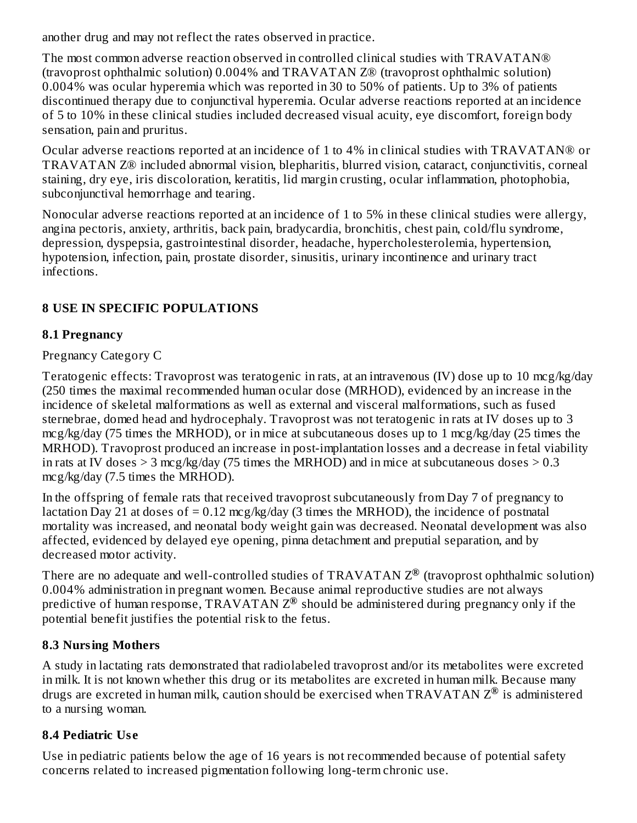another drug and may not reflect the rates observed in practice.

The most common adverse reaction observed in controlled clinical studies with TRAVATAN® (travoprost ophthalmic solution) 0.004% and TRAVATAN Z® (travoprost ophthalmic solution) 0.004% was ocular hyperemia which was reported in 30 to 50% of patients. Up to 3% of patients discontinued therapy due to conjunctival hyperemia. Ocular adverse reactions reported at an incidence of 5 to 10% in these clinical studies included decreased visual acuity, eye discomfort, foreign body sensation, pain and pruritus.

Ocular adverse reactions reported at an incidence of 1 to 4% in clinical studies with TRAVATAN® or TRAVATAN Z® included abnormal vision, blepharitis, blurred vision, cataract, conjunctivitis, corneal staining, dry eye, iris discoloration, keratitis, lid margin crusting, ocular inflammation, photophobia, subconjunctival hemorrhage and tearing.

Nonocular adverse reactions reported at an incidence of 1 to 5% in these clinical studies were allergy, angina pectoris, anxiety, arthritis, back pain, bradycardia, bronchitis, chest pain, cold/flu syndrome, depression, dyspepsia, gastrointestinal disorder, headache, hypercholesterolemia, hypertension, hypotension, infection, pain, prostate disorder, sinusitis, urinary incontinence and urinary tract infections.

# **8 USE IN SPECIFIC POPULATIONS**

# **8.1 Pregnancy**

#### Pregnancy Category C

Teratogenic effects: Travoprost was teratogenic in rats, at an intravenous (IV) dose up to 10 mcg/kg/day (250 times the maximal recommended human ocular dose (MRHOD), evidenced by an increase in the incidence of skeletal malformations as well as external and visceral malformations, such as fused sternebrae, domed head and hydrocephaly. Travoprost was not teratogenic in rats at IV doses up to 3 mcg/kg/day (75 times the MRHOD), or in mice at subcutaneous doses up to 1 mcg/kg/day (25 times the MRHOD). Travoprost produced an increase in post-implantation losses and a decrease in fetal viability in rats at IV doses  $> 3$  mcg/kg/day (75 times the MRHOD) and in mice at subcutaneous doses  $> 0.3$ mcg/kg/day (7.5 times the MRHOD).

In the offspring of female rats that received travoprost subcutaneously from Day 7 of pregnancy to lactation Day 21 at doses of  $= 0.12$  mcg/kg/day (3 times the MRHOD), the incidence of postnatal mortality was increased, and neonatal body weight gain was decreased. Neonatal development was also affected, evidenced by delayed eye opening, pinna detachment and preputial separation, and by decreased motor activity.

There are no adequate and well-controlled studies of  $\text{TRAVATAN Z}^{\circledR}$  (travoprost ophthalmic solution) 0.004% administration in pregnant women. Because animal reproductive studies are not always predictive of human response, TRAVATAN Z® should be administered during pregnancy only if the potential benefit justifies the potential risk to the fetus.

# **8.3 Nursing Mothers**

A study in lactating rats demonstrated that radiolabeled travoprost and/or its metabolites were excreted in milk. It is not known whether this drug or its metabolites are excreted in human milk. Because many drugs are excreted in human milk, caution should be exercised when  $\texttt{TRAVATAN Z}^{\textcircled{\textbf{8}}}$  is administered to a nursing woman.

# **8.4 Pediatric Us e**

Use in pediatric patients below the age of 16 years is not recommended because of potential safety concerns related to increased pigmentation following long-term chronic use.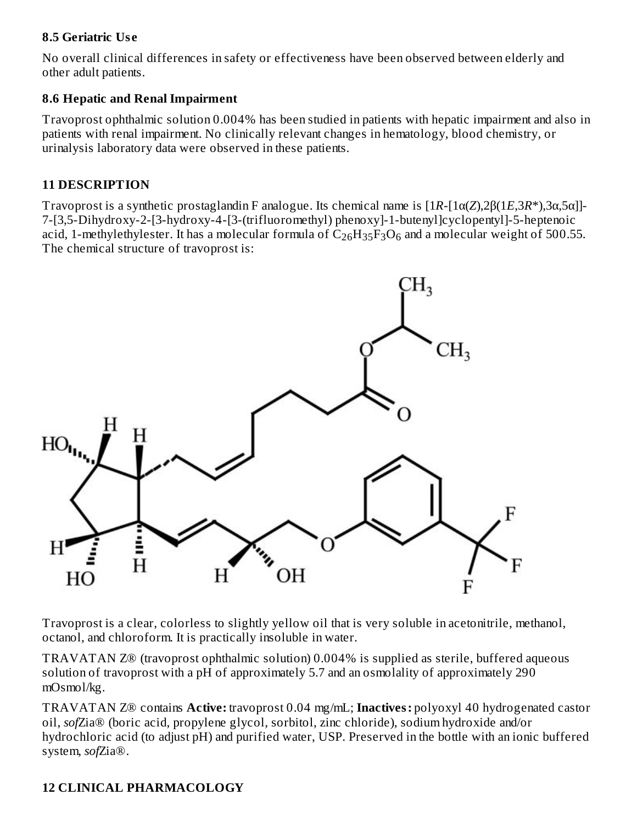#### **8.5 Geriatric Us e**

No overall clinical differences in safety or effectiveness have been observed between elderly and other adult patients.

#### **8.6 Hepatic and Renal Impairment**

Travoprost ophthalmic solution 0.004% has been studied in patients with hepatic impairment and also in patients with renal impairment. No clinically relevant changes in hematology, blood chemistry, or urinalysis laboratory data were observed in these patients.

#### **11 DESCRIPTION**

Travoprost is a synthetic prostaglandin F analogue. Its chemical name is [1*R*-[1α(*Z*),2β(1*E*,3*R*\*),3α,5α]]- 7-[3,5-Dihydroxy-2-[3-hydroxy-4-[3-(trifluoromethyl) phenoxy]-1-butenyl]cyclopentyl]-5-heptenoic acid, 1-methylethylester. It has a molecular formula of  $\rm{C_{26}H_{35}F_{3}O_6}$  and a molecular weight of 500.55. The chemical structure of travoprost is:



Travoprost is a clear, colorless to slightly yellow oil that is very soluble in acetonitrile, methanol, octanol, and chloroform. It is practically insoluble in water.

TRAVATAN Z® (travoprost ophthalmic solution) 0.004% is supplied as sterile, buffered aqueous solution of travoprost with a pH of approximately 5.7 and an osmolality of approximately 290 mOsmol/kg.

TRAVATAN Z® contains **Active:** travoprost 0.04 mg/mL; **Inactives:** polyoxyl 40 hydrogenated castor oil, *sof*Zia® (boric acid, propylene glycol, sorbitol, zinc chloride), sodium hydroxide and/or hydrochloric acid (to adjust pH) and purified water, USP. Preserved in the bottle with an ionic buffered system, *sof*Zia®.

# **12 CLINICAL PHARMACOLOGY**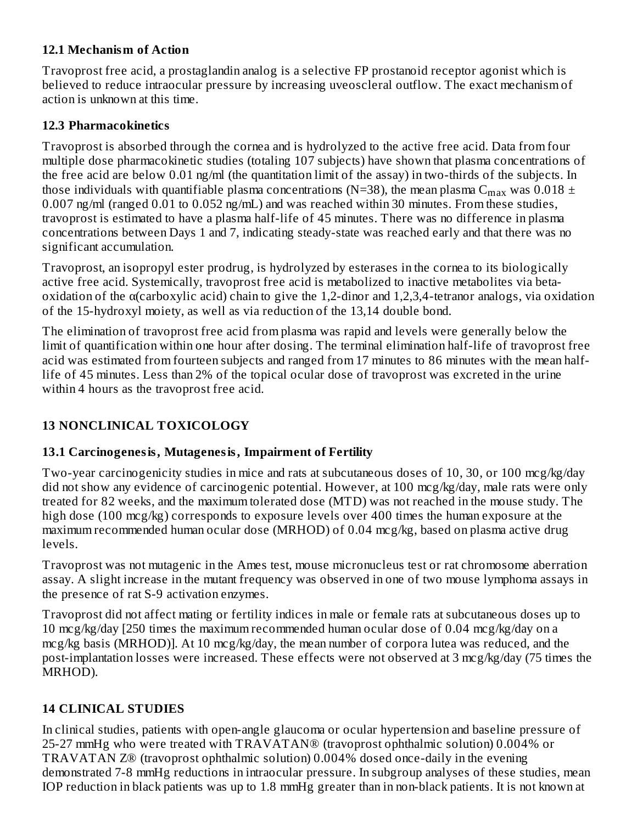#### **12.1 Mechanism of Action**

Travoprost free acid, a prostaglandin analog is a selective FP prostanoid receptor agonist which is believed to reduce intraocular pressure by increasing uveoscleral outflow. The exact mechanism of action is unknown at this time.

#### **12.3 Pharmacokinetics**

Travoprost is absorbed through the cornea and is hydrolyzed to the active free acid. Data from four multiple dose pharmacokinetic studies (totaling 107 subjects) have shown that plasma concentrations of the free acid are below 0.01 ng/ml (the quantitation limit of the assay) in two-thirds of the subjects. In those individuals with quantifiable plasma concentrations (N=38), the mean plasma  $\rm{C_{max}}$  was 0.018  $\pm$ 0.007 ng/ml (ranged 0.01 to 0.052 ng/mL) and was reached within 30 minutes. From these studies, travoprost is estimated to have a plasma half-life of 45 minutes. There was no difference in plasma concentrations between Days 1 and 7, indicating steady-state was reached early and that there was no significant accumulation.

Travoprost, an isopropyl ester prodrug, is hydrolyzed by esterases in the cornea to its biologically active free acid. Systemically, travoprost free acid is metabolized to inactive metabolites via betaoxidation of the α(carboxylic acid) chain to give the 1,2-dinor and 1,2,3,4-tetranor analogs, via oxidation of the 15-hydroxyl moiety, as well as via reduction of the 13,14 double bond.

The elimination of travoprost free acid from plasma was rapid and levels were generally below the limit of quantification within one hour after dosing. The terminal elimination half-life of travoprost free acid was estimated from fourteen subjects and ranged from 17 minutes to 86 minutes with the mean halflife of 45 minutes. Less than 2% of the topical ocular dose of travoprost was excreted in the urine within 4 hours as the travoprost free acid.

# **13 NONCLINICAL TOXICOLOGY**

# **13.1 Carcinogenesis, Mutagenesis, Impairment of Fertility**

Two-year carcinogenicity studies in mice and rats at subcutaneous doses of 10, 30, or 100 mcg/kg/day did not show any evidence of carcinogenic potential. However, at 100 mcg/kg/day, male rats were only treated for 82 weeks, and the maximum tolerated dose (MTD) was not reached in the mouse study. The high dose (100 mcg/kg) corresponds to exposure levels over 400 times the human exposure at the maximum recommended human ocular dose (MRHOD) of 0.04 mcg/kg, based on plasma active drug levels.

Travoprost was not mutagenic in the Ames test, mouse micronucleus test or rat chromosome aberration assay. A slight increase in the mutant frequency was observed in one of two mouse lymphoma assays in the presence of rat S-9 activation enzymes.

Travoprost did not affect mating or fertility indices in male or female rats at subcutaneous doses up to 10 mcg/kg/day [250 times the maximum recommended human ocular dose of 0.04 mcg/kg/day on a mcg/kg basis (MRHOD)]. At 10 mcg/kg/day, the mean number of corpora lutea was reduced, and the post-implantation losses were increased. These effects were not observed at 3 mcg/kg/day (75 times the MRHOD).

# **14 CLINICAL STUDIES**

In clinical studies, patients with open-angle glaucoma or ocular hypertension and baseline pressure of 25-27 mmHg who were treated with TRAVATAN® (travoprost ophthalmic solution) 0.004% or TRAVATAN Z® (travoprost ophthalmic solution) 0.004% dosed once-daily in the evening demonstrated 7-8 mmHg reductions in intraocular pressure. In subgroup analyses of these studies, mean IOP reduction in black patients was up to 1.8 mmHg greater than in non-black patients. It is not known at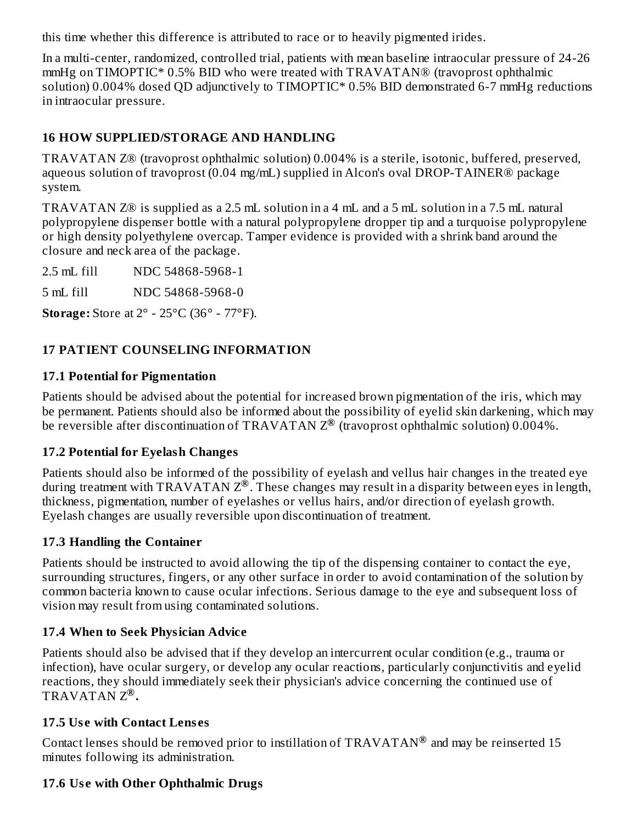this time whether this difference is attributed to race or to heavily pigmented irides.

In a multi-center, randomized, controlled trial, patients with mean baseline intraocular pressure of 24-26 mmHg on TIMOPTIC\* 0.5% BID who were treated with TRAVATAN® (travoprost ophthalmic solution) 0.004% dosed QD adjunctively to TIMOPTIC\* 0.5% BID demonstrated 6-7 mmHg reductions in intraocular pressure.

# **16 HOW SUPPLIED/STORAGE AND HANDLING**

TRAVATAN Z® (travoprost ophthalmic solution) 0.004% is a sterile, isotonic, buffered, preserved, aqueous solution of travoprost (0.04 mg/mL) supplied in Alcon's oval DROP-TAINER® package system.

TRAVATAN Z® is supplied as a 2.5 mL solution in a 4 mL and a 5 mL solution in a 7.5 mL natural polypropylene dispenser bottle with a natural polypropylene dropper tip and a turquoise polypropylene or high density polyethylene overcap. Tamper evidence is provided with a shrink band around the closure and neck area of the package.

2.5 mL fill NDC 54868-5968-1 5 mL fill NDC 54868-5968-0 **Storage:** Store at 2° - 25°C (36° - 77°F).

# **17 PATIENT COUNSELING INFORMATION**

# **17.1 Potential for Pigmentation**

Patients should be advised about the potential for increased brown pigmentation of the iris, which may be permanent. Patients should also be informed about the possibility of eyelid skin darkening, which may be reversible after discontinuation of TRAVATAN Z® (travoprost ophthalmic solution) 0.004%.

# **17.2 Potential for Eyelash Changes**

Patients should also be informed of the possibility of eyelash and vellus hair changes in the treated eye during treatment with TRAVATAN Z®. These changes may result in a disparity between eyes in length, thickness, pigmentation, number of eyelashes or vellus hairs, and/or direction of eyelash growth. Eyelash changes are usually reversible upon discontinuation of treatment.

# **17.3 Handling the Container**

Patients should be instructed to avoid allowing the tip of the dispensing container to contact the eye, surrounding structures, fingers, or any other surface in order to avoid contamination of the solution by common bacteria known to cause ocular infections. Serious damage to the eye and subsequent loss of vision may result from using contaminated solutions.

# **17.4 When to Seek Physician Advice**

Patients should also be advised that if they develop an intercurrent ocular condition (e.g., trauma or infection), have ocular surgery, or develop any ocular reactions, particularly conjunctivitis and eyelid reactions, they should immediately seek their physician's advice concerning the continued use of  $TRAVATAN Z^{\circledR}$ .

# **17.5 Us e with Contact Lens es**

Contact lenses should be removed prior to instillation of TRAVATAN® and may be reinserted 15 minutes following its administration.

# **17.6 Us e with Other Ophthalmic Drugs**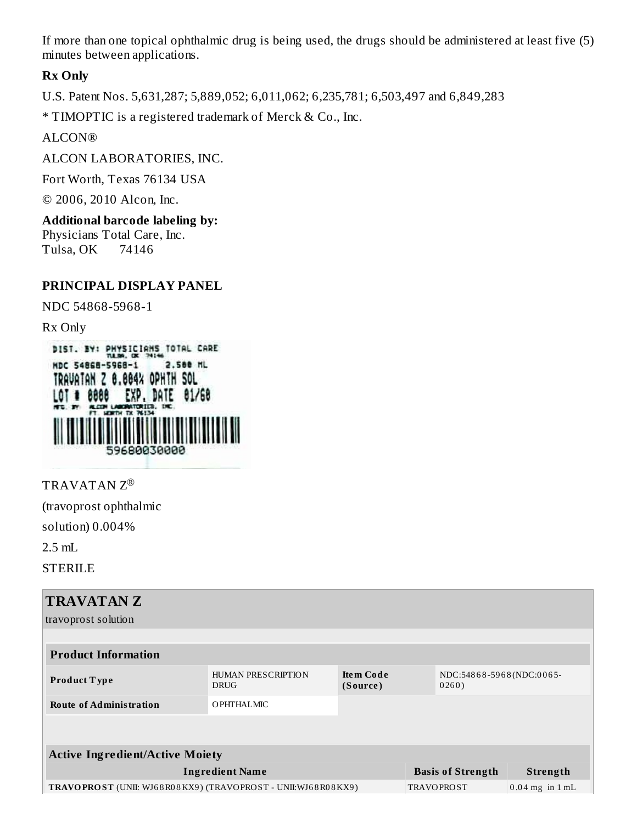If more than one topical ophthalmic drug is being used, the drugs should be administered at least five (5) minutes between applications.

#### **Rx Only**

U.S. Patent Nos. 5,631,287; 5,889,052; 6,011,062; 6,235,781; 6,503,497 and 6,849,283

\* TIMOPTIC is a registered trademark of Merck & Co., Inc.

ALCON®

ALCON LABORATORIES, INC.

Fort Worth, Texas 76134 USA

© 2006, 2010 Alcon, Inc.

# **Additional barcode labeling by:**

Physicians Total Care, Inc. Tulsa, OK 74146

#### **PRINCIPAL DISPLAY PANEL**

NDC 54868-5968-1

Rx Only



TRAVATAN Z ®

(travoprost ophthalmic

solution) 0.004%

2.5 mL

STERILE

| <b>TRAVATAN Z</b><br>travoprost solution                            |                                   |                              |  |                                   |                   |  |  |  |  |
|---------------------------------------------------------------------|-----------------------------------|------------------------------|--|-----------------------------------|-------------------|--|--|--|--|
| <b>Product Information</b>                                          |                                   |                              |  |                                   |                   |  |  |  |  |
| <b>Product Type</b>                                                 | HUMAN PRESCRIPTION<br><b>DRUG</b> | <b>Item Code</b><br>(Source) |  | NDC:54868-5968(NDC:0065-<br>0260) |                   |  |  |  |  |
| <b>Route of Administration</b>                                      | OPHTHALMIC                        |                              |  |                                   |                   |  |  |  |  |
|                                                                     |                                   |                              |  |                                   |                   |  |  |  |  |
| <b>Active Ingredient/Active Moiety</b>                              |                                   |                              |  |                                   |                   |  |  |  |  |
| <b>Ingredient Name</b>                                              |                                   |                              |  | <b>Basis of Strength</b>          | Strength          |  |  |  |  |
| <b>TRAVOPROST</b> (UNII: WJ68R08KX9) (TRAVOPROST - UNII:WJ68R08KX9) |                                   |                              |  | <b>TRAVOPROST</b>                 | $0.04$ mg in 1 mL |  |  |  |  |